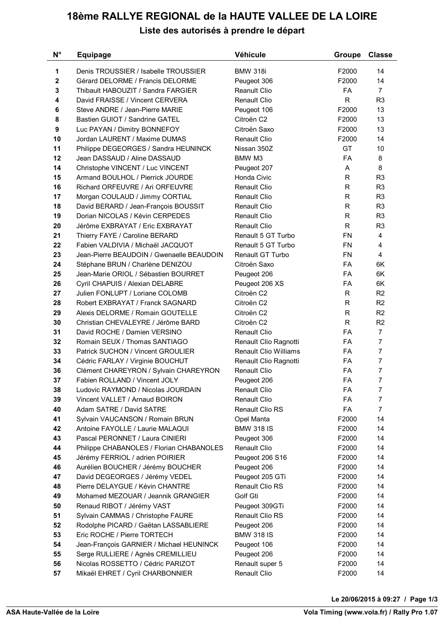## **18ème RALLYE REGIONAL de la HAUTE VALLEE DE LA LOIRE Liste des autorisés à prendre le départ**

| $N^{\circ}$ | <b>Equipage</b>                           | Véhicule                     | <b>Groupe</b> | <b>Classe</b>  |
|-------------|-------------------------------------------|------------------------------|---------------|----------------|
| $\mathbf 1$ | Denis TROUSSIER / Isabelle TROUSSIER      | <b>BMW 318i</b>              | F2000         | 14             |
| $\mathbf 2$ | Gérard DELORME / Francis DELORME          | Peugeot 306                  | F2000         | 14             |
| 3           | Thibault HABOUZIT / Sandra FARGIER        | Reanult Clio                 | <b>FA</b>     | $\overline{7}$ |
| 4           | David FRAISSE / Vincent CERVERA           | Renault Clio                 | $\mathsf{R}$  | R <sub>3</sub> |
| 6           | Steve ANDRE / Jean-Pierre MARIE           | Peugeot 106                  | F2000         | 13             |
| 8           | Bastien GUIOT / Sandrine GATEL            | Citroën C2                   | F2000         | 13             |
| 9           | Luc PAYAN / Dimitry BONNEFOY              | Citroën Saxo                 | F2000         | 13             |
| 10          | Jordan LAURENT / Maxime DUMAS             | Renault Clio                 | F2000         | 14             |
| 11          | Philippe DEGEORGES / Sandra HEUNINCK      | Nissan 350Z                  | GT            | 10             |
| 12          | Jean DASSAUD / Aline DASSAUD              | BMW M3                       | FA            | 8              |
| 14          | Christophe VINCENT / Luc VINCENT          | Peugeot 207                  | A             | 8              |
| 15          | Armand BOULHOL / Pierrick JOURDE          | Honda Civic                  | R             | R <sub>3</sub> |
| 16          | Richard ORFEUVRE / Ari ORFEUVRE           | <b>Renault Clio</b>          | R             | R <sub>3</sub> |
| 17          | Morgan COULAUD / Jimmy CORTIAL            | Renault Clio                 | R             | R <sub>3</sub> |
| 18          | David BERARD / Jean-François BOUSSIT      | Renault Clio                 | $\mathsf R$   | R <sub>3</sub> |
| 19          | Dorian NICOLAS / Kévin CERPEDES           | <b>Renault Clio</b>          | R             | R <sub>3</sub> |
| 20          | Jérôme EXBRAYAT / Eric EXBRAYAT           | Renault Clio                 | R             | R <sub>3</sub> |
| 21          | Thierry FAYE / Caroline BERARD            | Renault 5 GT Turbo           | <b>FN</b>     | 4              |
| 22          | Fabien VALDIVIA / Michaël JACQUOT         | Renault 5 GT Turbo           | <b>FN</b>     | 4              |
| 23          | Jean-Pierre BEAUDOIN / Gwenaelle BEAUDOIN | Renault GT Turbo             | <b>FN</b>     | 4              |
| 24          | Stéphane BRUN / Charlène DENIZOU          | Citroën Saxo                 | <b>FA</b>     | 6K             |
| 25          | Jean-Marie ORIOL / Sébastien BOURRET      | Peugeot 206                  | FA            | 6K             |
| 26          | Cyril CHAPUIS / Alexian DELABRE           | Peugeot 206 XS               | FA            | 6K             |
| 27          | Julien FONLUPT / Loriane COLOMB           | Citroën C2                   | $\mathsf R$   | R <sub>2</sub> |
| 28          | Robert EXBRAYAT / Franck SAGNARD          | Citroën C2                   | $\mathsf R$   | R <sub>2</sub> |
| 29          | Alexis DELORME / Romain GOUTELLE          | Citroën C2                   | R             | R <sub>2</sub> |
| 30          | Christian CHEVALEYRE / Jérôme BARD        | Citroën C2                   | $\mathsf R$   | R <sub>2</sub> |
| 31          | David ROCHE / Damien VERSINO              | <b>Renault Clio</b>          | <b>FA</b>     | $\overline{7}$ |
| 32          | Romain SEUX / Thomas SANTIAGO             | Renault Clio Ragnotti        | <b>FA</b>     | $\overline{7}$ |
| 33          | Patrick SUCHON / Vincent GROULIER         | <b>Renault Clio Williams</b> | FA            | $\overline{7}$ |
| 34          | Cédric FARLAY / Virginie BOUCHUT          | Renault Clio Ragnotti        | <b>FA</b>     | $\overline{7}$ |
| 36          | Clément CHAREYRON / Sylvain CHAREYRON     | <b>Renault Clio</b>          | <b>FA</b>     | $\overline{7}$ |
| 37          | Fabien ROLLAND / Vincent JOLY             | Peugeot 206                  | FA            | $\overline{7}$ |
| 38          | Ludovic RAYMOND / Nicolas JOURDAIN        | <b>Renault Clio</b>          | FA            | 7              |
| 39          | Vincent VALLET / Arnaud BOIRON            | Renault Clio                 | FA            | $\overline{7}$ |
| 40          | Adam SATRE / David SATRE                  | Renault Clio RS              | FA            | $\overline{7}$ |
| 41          | Sylvain VAUCANSON / Romain BRUN           | Opel Manta                   | F2000         | 14             |
| 42          | Antoine FAYOLLE / Laurie MALAQUI          | <b>BMW 318 IS</b>            | F2000         | 14             |
| 43          | Pascal PERONNET / Laura CINIERI           | Peugeot 306                  | F2000         | 14             |
| 44          | Philippe CHABANOLES / Florian CHABANOLES  | <b>Renault Clio</b>          | F2000         | 14             |
| 45          | Jérémy FERRIOL / adrien POIRIER           | Peugeot 206 S16              | F2000         | 14             |
| 46          | Aurélien BOUCHER / Jérémy BOUCHER         | Peugeot 206                  | F2000         | 14             |
| 47          | David DEGEORGES / Jérémy VEDEL            | Peugeot 205 GTi              | F2000         | 14             |
| 48          | Pierre DELAYGUE / Kévin CHANTRE           | Renault Clio RS              | F2000         | 14             |
| 49          | Mohamed MEZOUAR / Jeannik GRANGIER        | Golf Gti                     | F2000         | 14             |
| 50          | Renaud RIBOT / Jérémy VAST                | Peugeot 309GTi               | F2000         | 14             |
| 51          | Sylvain CAMMAS / Christophe FAURE         | Renault Clio RS              | F2000         | 14             |
| 52          | Rodolphe PICARD / Gaëtan LASSABLIERE      | Peugeot 206                  | F2000         | 14             |
| 53          | Eric ROCHE / Pierre TORTECH               | <b>BMW 318 IS</b>            | F2000         | 14             |
| 54          | Jean-François GARNIER / Michael HEUNINCK  | Peugeot 106                  | F2000         | 14             |
| 55          | Serge RULLIERE / Agnès CREMILLIEU         | Peugeot 206                  | F2000         | 14             |
| 56          | Nicolas ROSSETTO / Cédric PARIZOT         | Renault super 5              | F2000         | 14             |
| 57          | Mikaël EHRET / Cyril CHARBONNIER          | Renault Clio                 | F2000         | 14             |

**Le 20/06/2015 à 09:27 / Page 1/3**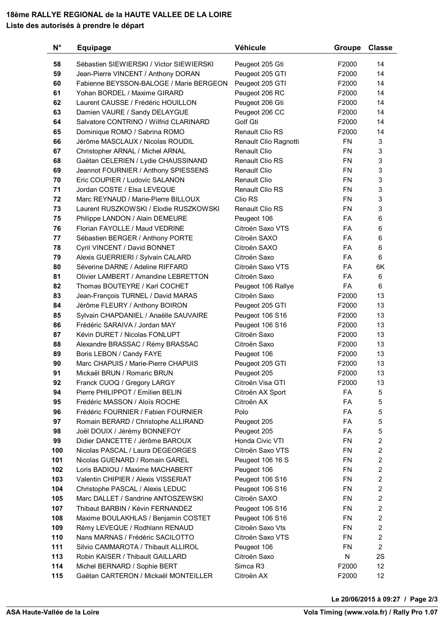## **18ème RALLYE REGIONAL de la HAUTE VALLEE DE LA LOIRE Liste des autorisés à prendre le départ**

| $N^{\circ}$ | <b>Equipage</b>                          | Véhicule               | Groupe    | <b>Classe</b>  |
|-------------|------------------------------------------|------------------------|-----------|----------------|
| 58          | Sébastien SIEWIERSKI / Victor SIEWIERSKI | Peugeot 205 Gti        | F2000     | 14             |
| 59          | Jean-Pierre VINCENT / Anthony DORAN      | Peugeot 205 GTI        | F2000     | 14             |
| 60          | Fabienne BEYSSON-BALOGE / Marie BERGEON  | Peugeot 205 GTI        | F2000     | 14             |
| 61          | Yohan BORDEL / Maxime GIRARD             | Peugeot 206 RC         | F2000     | 14             |
| 62          | Laurent CAUSSE / Frédéric HOUILLON       | Peugeot 206 Gti        | F2000     | 14             |
| 63          | Damien VAURE / Sandy DELAYGUE            | Peugeot 206 CC         | F2000     | 14             |
| 64          | Salvatore CONTRINO / Wilfrid CLARINARD   | Golf Gti               | F2000     | 14             |
| 65          | Dominique ROMO / Sabrina ROMO            | Renault Clio RS        | F2000     | 14             |
| 66          | Jérôme MASCLAUX / Nicolas ROUDIL         | Renault Clio Ragnotti  | <b>FN</b> | 3              |
| 67          | Christopher ARNAL / Michel ARNAL         | Renault Clio           | <b>FN</b> | 3              |
| 68          | Gaëtan CELERIEN / Lydie CHAUSSINAND      | Renault Clio RS        | <b>FN</b> | 3              |
| 69          | Jeannot FOURNIER / Anthony SPIESSENS     | <b>Renault Clio</b>    | <b>FN</b> | 3              |
| 70          | Eric COUPIER / Ludovic SALANON           | <b>Renault Clio</b>    | <b>FN</b> | 3              |
| 71          | Jordan COSTE / Elsa LEVEQUE              | <b>Renault Clio RS</b> | <b>FN</b> | 3              |
| 72          | Marc REYNAUD / Marie-Pierre BILLOUX      | Clio RS                | <b>FN</b> | 3              |
| 73          | Laurent RUSZKOWSKI / Elodie RUSZKOWSKI   | <b>Renault Clio RS</b> | <b>FN</b> | 3              |
| 75          | Philippe LANDON / Alain DEMEURE          | Peugeot 106            | <b>FA</b> | 6              |
| 76          | Florian FAYOLLE / Maud VEDRINE           | Citroën Saxo VTS       | <b>FA</b> | 6              |
| 77          | Sébastien BERGER / Anthony PORTE         | Citroën SAXO           | FA        | 6              |
| 78          | Cyril VINCENT / David BONNET             | Citroën SAXO           | <b>FA</b> | 6              |
| 79          | Alexis GUERRIERI / Sylvain CALARD        | Citroën Saxo           | <b>FA</b> | 6              |
| 80          | Séverine DARNE / Adeline RIFFARD         | Citroën Saxo VTS       | <b>FA</b> | 6K             |
| 81          | Olivier LAMBERT / Amandine LEBRETTON     | Citroën Saxo           | FA        | 6              |
| 82          | Thomas BOUTEYRE / Karl COCHET            | Peugeot 106 Rallye     | FA        | 6              |
| 83          | Jean-François TURNEL / David MARAS       | Citroën Saxo           | F2000     | 13             |
| 84          | Jérôme FLEURY / Anthony BOIRON           | Peugeot 205 GTI        | F2000     | 13             |
| 85          | Sylvain CHAPDANIEL / Anaëlle SAUVAIRE    | Peugeot 106 S16        | F2000     | 13             |
| 86          | Frédéric SARAIVA / Jordan MAY            | Peugeot 106 S16        | F2000     | 13             |
| 87          | Kévin DURET / Nicolas FONLUPT            | Citroën Saxo           | F2000     | 13             |
| 88          | Alexandre BRASSAC / Rémy BRASSAC         | Citroën Saxo           | F2000     | 13             |
| 89          | Boris LEBON / Candy FAYE                 | Peugeot 106            | F2000     | 13             |
| 90          | Marc CHAPUIS / Marie-Pierre CHAPUIS      | Peugeot 205 GTI        | F2000     | 13             |
| 91          | Mickaël BRUN / Romaric BRUN              | Peugeot 205            | F2000     | 13             |
| 92          | Franck CUOQ / Gregory LARGY              | Citroën Visa GTI       | F2000     | 13             |
| 94          | Pierre PHILIPPOT / Emilien BELIN         | Citroën AX Sport       | FA        | 5              |
| 95          | Frédéric MASSON / Aloïs ROCHE            | Citroën AX             | FA        | 5              |
| 96          | Frédéric FOURNIER / Fabien FOURNIER      | Polo                   | FA        | 5              |
| 97          | Romain BERARD / Christophe ALLIRAND      | Peugeot 205            | FA        | 5              |
| 98          | Joël DOUIX / Jérémy BONNEFOY             | Peugeot 205            | FA        | 5              |
| 99          | Didier DANCETTE / Jérôme BAROUX          | Honda Civic VTI        | <b>FN</b> | 2              |
| 100         | Nicolas PASCAL / Laura DEGEORGES         | Citroën Saxo VTS       | <b>FN</b> | 2              |
| 101         | Nicolas GUENARD / Romain GAREL           | Peugeot 106 16 S       | <b>FN</b> | 2              |
| 102         | Loris BADIOU / Maxime MACHABERT          | Peugeot 106            | <b>FN</b> | 2              |
| 103         | Valentin CHIPIER / Alexis VISSERIAT      | Peugeot 106 S16        | <b>FN</b> | 2              |
| 104         | Christophe PASCAL / Alexis LEDUC         | Peugeot 106 S16        | <b>FN</b> | $\overline{2}$ |
| 105         | Marc DALLET / Sandrine ANTOSZEWSKI       | Citroën SAXO           | FN        | 2              |
| 107         | Thibaut BARBIN / Kévin FERNANDEZ         | Peugeot 106 S16        | FN        | 2              |
| 108         | Maxime BOULAKHLAS / Benjamin COSTET      | Peugeot 106 S16        | FN        | 2              |
| 109         | Rémy LEVEQUE / Rodhlann RENAUD           | Citroën Saxo Vts       | <b>FN</b> | $\overline{c}$ |
| 110         | Nans MARNAS / Frédéric SACILOTTO         | Citroën Saxo VTS       | <b>FN</b> | $\overline{2}$ |
| 111         | Silvio CAMMAROTA / Thibault ALLIROL      | Peugeot 106            | <b>FN</b> | $\overline{2}$ |
| 113         | Robin KAISER / Thibault GAILLARD         | Citroën Saxo           | N         | 2S             |
| 114         | Michel BERNARD / Sophie BERT             | Simca R3               | F2000     | 12             |
|             |                                          | Citroën AX             | F2000     | 12             |

**Le 20/06/2015 à 09:27 / Page 2/3**